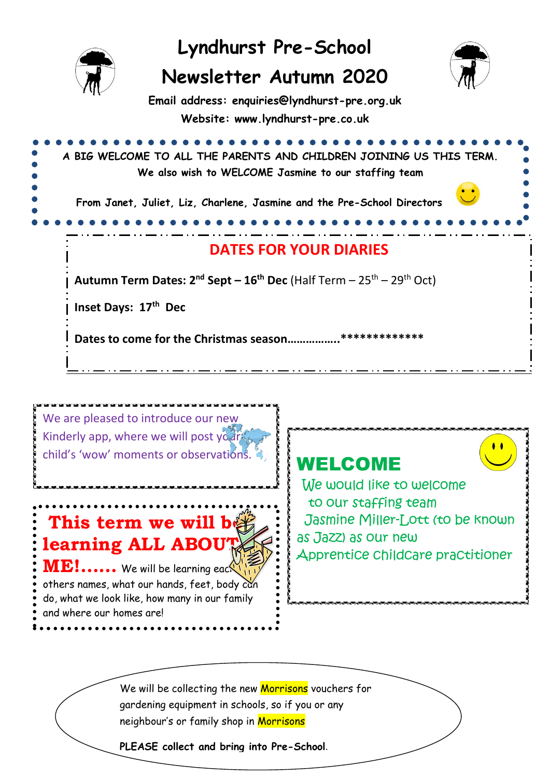

We are pleased to introduce our new Kinderly app, where we will post your child's 'wow' moments or observations.

**This term we will be learning ALL ABOUT**  $ME!$ ...... We will be learning each others names, what our hands, feet, body can do, what we look like, how many in our family and where our homes are!

## WELCOME

We would like to welcome to our staffing team Jasmine Miller-Lott (to be known as Jazz) as our new Apprentice childcare practitioner

We will be collecting the new Morrisons vouchers for gardening equipment in schools, so if you or any neighbour's or family shop in Morrisons

**PLEASE collect and bring into Pre-School**.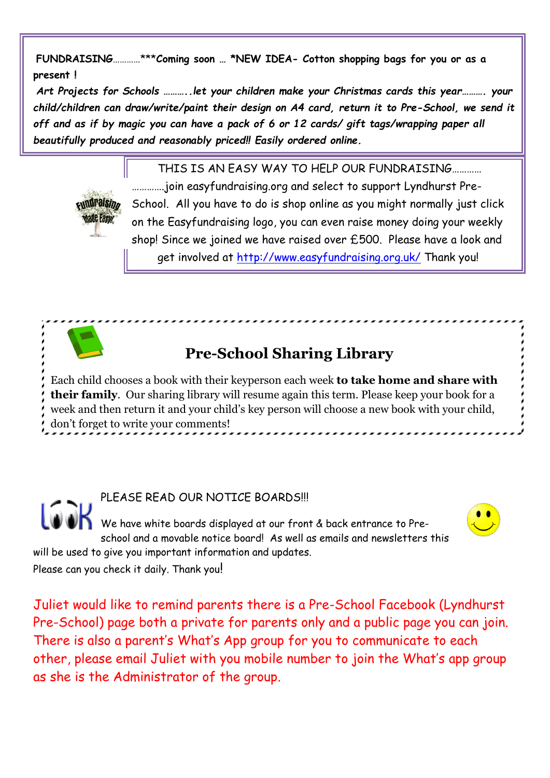**FUNDRAISING**…………\*\*\***Coming soon … \*NEW IDEA- Cotton shopping bags for you or as a present !**

*Art Projects for Schools ………..let your children make your Christmas cards this year………. your child/children can draw/write/paint their design on A4 card, return it to Pre-School, we send it off and as if by magic you can have a pack of 6 or 12 cards/ gift tags/wrapping paper all beautifully produced and reasonably priced!! Easily ordered online.*

THIS IS AN EASY WAY TO HELP OUR FUNDRAISING…………



………….join easyfundraising.org and select to support Lyndhurst Pre-School. All you have to do is shop online as you might normally just click on the Easyfundraising logo, you can even raise money doing your weekly shop! Since we joined we have raised over £500. Please have a look and get involved at http://www.easyfundraising.org.uk/ Thank you!

## **Pre-School Sharing Library**

Each child chooses a book with their keyperson each week **to take home and share with their family**. Our sharing library will resume again this term. Please keep your book for a week and then return it and your child's key person will choose a new book with your child, don't forget to write your comments!

PLEASE READ OUR NOTICE BOARDS!!! We have white boards displayed at our front & back entrance to Preschool and a movable notice board! As well as emails and newsletters this will be used to give you important information and updates. Please can you check it daily. Thank you!

Juliet would like to remind parents there is a Pre-School Facebook (Lyndhurst Pre-School) page both a private for parents only and a public page you can join. There is also a parent's What's App group for you to communicate to each other, please email Juliet with you mobile number to join the What's app group as she is the Administrator of the group.